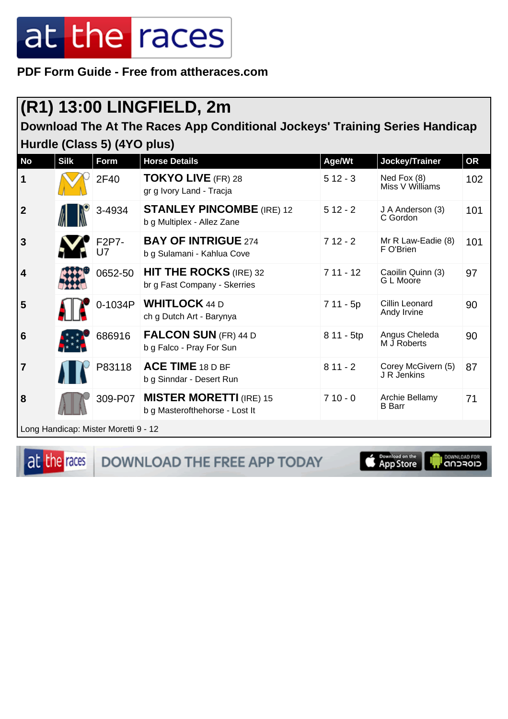**PDF Form Guide - Free from attheraces.com**

### **(R1) 13:00 LINGFIELD, 2m**

**Download The At The Races App Conditional Jockeys' Training Series Handicap Hurdle (Class 5) (4YO plus)**

| <b>No</b>        | <b>Silk</b> | <b>Form</b>                          | <b>Horse Details</b>                                             | Age/Wt     | Jockey/Trainer                    | <b>OR</b> |
|------------------|-------------|--------------------------------------|------------------------------------------------------------------|------------|-----------------------------------|-----------|
| $\mathbf 1$      |             | 2F40                                 | <b>TOKYO LIVE</b> (FR) 28<br>gr g Ivory Land - Tracja            | $512 - 3$  | Ned Fox (8)<br>Miss V Williams    | 102       |
| $\boldsymbol{2}$ |             | 3-4934                               | <b>STANLEY PINCOMBE (IRE) 12</b><br>b g Multiplex - Allez Zane   | $512 - 2$  | J A Anderson (3)<br>C Gordon      | 101       |
| 3                |             | F2P7-                                | <b>BAY OF INTRIGUE 274</b><br>b g Sulamani - Kahlua Cove         | $712 - 2$  | Mr R Law-Eadie (8)<br>F O'Brien   | 101       |
| 4                |             | 0652-50                              | <b>HIT THE ROCKS</b> (IRE) 32<br>br g Fast Company - Skerries    | $711 - 12$ | Caoilin Quinn (3)<br>G L Moore    | 97        |
| 5                |             | 0-1034P                              | <b>WHITLOCK</b> 44 D<br>ch g Dutch Art - Barynya                 | 7 11 - 5p  | Cillin Leonard<br>Andy Irvine     | 90        |
| 6                |             | 686916                               | <b>FALCON SUN (FR) 44 D</b><br>b g Falco - Pray For Sun          | 8 11 - 5tp | Angus Cheleda<br>M J Roberts      | 90        |
| $\overline{7}$   |             | P83118                               | <b>ACE TIME 18 D BF</b><br>b g Sinndar - Desert Run              | $811 - 2$  | Corey McGivern (5)<br>J R Jenkins | 87        |
| 8                |             | 309-P07                              | <b>MISTER MORETTI (IRE) 15</b><br>b g Masterofthehorse - Lost It | $710 - 0$  | Archie Bellamy<br><b>B</b> Barr   | 71        |
|                  |             | Long Handicap: Mister Moretti 9 - 12 |                                                                  |            |                                   |           |

at the races DOWNLOAD THE FREE APP TODAY

App Store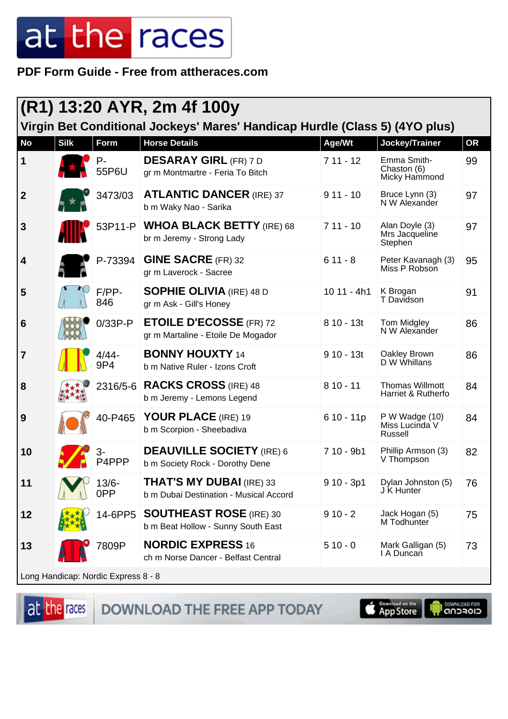PDF Form Guide - Free from attheraces.com

|                  | (R1) 13:20 AYR, 2m 4f 100y<br>Virgin Bet Conditional Jockeys' Mares' Handicap Hurdle (Class 5) (4YO plus) |                                       |                                                                           |              |                                              |           |  |  |
|------------------|-----------------------------------------------------------------------------------------------------------|---------------------------------------|---------------------------------------------------------------------------|--------------|----------------------------------------------|-----------|--|--|
| <b>No</b>        | <b>Silk</b>                                                                                               | Form                                  | <b>Horse Details</b>                                                      | Age/Wt       | Jockey/Trainer                               | <b>OR</b> |  |  |
| 1                |                                                                                                           | $P -$<br>55P6U                        | <b>DESARAY GIRL (FR) 7 D</b><br>gr m Montmartre - Feria To Bitch          | $711 - 12$   | Emma Smith-<br>Chaston (6)<br>Micky Hammond  | 99        |  |  |
| $\vert$ 2        |                                                                                                           | 3473/03                               | <b>ATLANTIC DANCER (IRE) 37</b><br>b m Waky Nao - Sarika                  | $911 - 10$   | Bruce Lynn (3)<br>N W Alexander              | 97        |  |  |
| $\mathbf{3}$     |                                                                                                           |                                       | 53P11-P WHOA BLACK BETTY (IRE) 68<br>br m Jeremy - Strong Lady            | $711 - 10$   | Alan Doyle (3)<br>Mrs Jacqueline<br>Stephen  | 97        |  |  |
| $\boldsymbol{4}$ |                                                                                                           | P-73394                               | <b>GINE SACRE (FR) 32</b><br>gr m Laverock - Sacree                       | $611 - 8$    | Peter Kavanagh (3)<br>Miss P Robson          | 95        |  |  |
| 5                |                                                                                                           | $F/PP-$<br>846                        | <b>SOPHIE OLIVIA</b> (IRE) 48 D<br>gr m Ask - Gill's Honey                | $1011 - 4h1$ | K Brogan<br>T Davidson                       | 91        |  |  |
| 6                |                                                                                                           | $0/33P-P$                             | <b>ETOILE D'ECOSSE (FR) 72</b><br>gr m Martaline - Etoile De Mogador      | $810 - 13t$  | Tom Midgley<br>N W Alexander                 | 86        |  |  |
| $\overline{7}$   |                                                                                                           | $4/44 -$<br>9P4                       | <b>BONNY HOUXTY 14</b><br>b m Native Ruler - Izons Croft                  | $910 - 13t$  | Oakley Brown<br>D W Whillans                 | 86        |  |  |
| 8                |                                                                                                           |                                       | 2316/5-6 RACKS CROSS (IRE) 48<br>b m Jeremy - Lemons Legend               | $810 - 11$   | <b>Thomas Willmott</b><br>Harriet & Rutherfo | 84        |  |  |
| 9                |                                                                                                           | 40-P465                               | YOUR PLACE (IRE) 19<br>b m Scorpion - Sheebadiva                          | $610 - 11p$  | P W Wadge (10)<br>Miss Lucinda V<br>Russell  | 84        |  |  |
| 10               |                                                                                                           | P4PPP                                 | <b>DEAUVILLE SOCIETY (IRE) 6</b><br>b m Society Rock - Dorothy Dene       | $710 - 9b1$  | Phillip Armson (3)<br>V Thompson             | 82        |  |  |
| 11               |                                                                                                           | $13/6 -$<br>0PP                       | <b>THAT'S MY DUBAI (IRE) 33</b><br>b m Dubai Destination - Musical Accord | $910 - 3p1$  | Dylan Johnston (5)<br>J K Hunter             | 76        |  |  |
| 12               |                                                                                                           | 14-6PP5                               | <b>SOUTHEAST ROSE</b> (IRE) 30<br>b m Beat Hollow - Sunny South East      | $910 - 2$    | Jack Hogan (5)<br>M Todhunter                | 75        |  |  |
| 13               |                                                                                                           | 7809P                                 | <b>NORDIC EXPRESS 16</b><br>ch m Norse Dancer - Belfast Central           | $510 - 0$    | Mark Galligan (5)<br>I A Duncan              | 73        |  |  |
|                  |                                                                                                           | l Long Handican: Nordic Express 8 - 8 |                                                                           |              |                                              |           |  |  |

at the races

DOWNLOAD THE FREE APP TODAY

ייט פוסדכ∩ה<br>⊂וסדכ∩ה µ App Store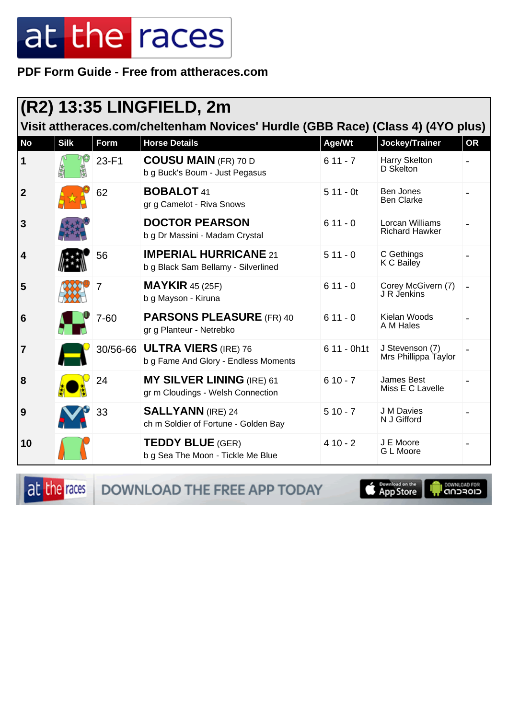PDF Form Guide - Free from attheraces.com

| $(R2)$ 13:35 LINGFIELD, 2m                                                      |             |          |                                                                       |             |                                          |    |  |
|---------------------------------------------------------------------------------|-------------|----------|-----------------------------------------------------------------------|-------------|------------------------------------------|----|--|
| Visit attheraces.com/cheltenham Novices' Hurdle (GBB Race) (Class 4) (4YO plus) |             |          |                                                                       |             |                                          |    |  |
| <b>No</b>                                                                       | <b>Silk</b> | Form     | <b>Horse Details</b>                                                  | Age/Wt      | Jockey/Trainer                           | OR |  |
| $\vert$ 1                                                                       |             | 23-F1    | <b>COUSU MAIN (FR) 70 D</b><br>b g Buck's Boum - Just Pegasus         | $611 - 7$   | Harry Skelton<br>D Skelton               |    |  |
| $\overline{2}$                                                                  |             | 62       | <b>BOBALOT 41</b><br>gr g Camelot - Riva Snows                        | $511 - 0t$  | Ben Jones<br><b>Ben Clarke</b>           |    |  |
| 3                                                                               |             |          | <b>DOCTOR PEARSON</b><br>b g Dr Massini - Madam Crystal               | $611 - 0$   | Lorcan Williams<br><b>Richard Hawker</b> |    |  |
| 4                                                                               |             | 56       | <b>IMPERIAL HURRICANE 21</b><br>b g Black Sam Bellamy - Silverlined   | $511 - 0$   | C Gethings<br>K C Bailey                 |    |  |
| 5                                                                               |             |          | $MAYKIR$ 45 (25F)<br>b g Mayson - Kiruna                              | $611 - 0$   | Corey McGivern (7)<br>J R Jenkins        |    |  |
| 6                                                                               |             | $7 - 60$ | <b>PARSONS PLEASURE (FR) 40</b><br>gr g Planteur - Netrebko           | $611 - 0$   | Kielan Woods<br>A M Hales                |    |  |
| $\overline{\mathbf{7}}$                                                         |             | 30/56-66 | <b>ULTRA VIERS (IRE) 76</b><br>b g Fame And Glory - Endless Moments   | 6 11 - 0h1t | J Stevenson (7)<br>Mrs Phillippa Taylor  |    |  |
| 8                                                                               |             | 24       | <b>MY SILVER LINING (IRE) 61</b><br>gr m Cloudings - Welsh Connection | $610 - 7$   | James Best<br>Miss E C Lavelle           |    |  |
| 9                                                                               |             | 33       | <b>SALLYANN</b> (IRE) 24<br>ch m Soldier of Fortune - Golden Bay      | $510 - 7$   | J M Davies<br>N J Gifford                |    |  |
| 10                                                                              |             |          | <b>TEDDY BLUE (GER)</b><br>b g Sea The Moon - Tickle Me Blue          | $410 - 2$   | J E Moore<br>G L Moore                   |    |  |

at the races DOWNLOAD THE FREE APP TODAY

**Completed on the** 

**OOWNLOAD FOR**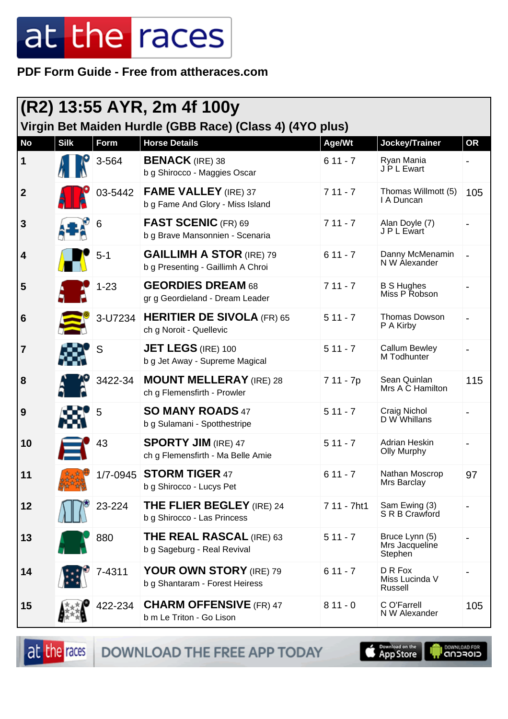**PDF Form Guide - Free from attheraces.com**

| (R2) 13:55 AYR, 2m 4f 100y<br>Virgin Bet Maiden Hurdle (GBB Race) (Class 4) (4YO plus) |             |          |                                                                      |             |                                             |           |  |
|----------------------------------------------------------------------------------------|-------------|----------|----------------------------------------------------------------------|-------------|---------------------------------------------|-----------|--|
| <b>No</b>                                                                              | <b>Silk</b> | Form     | <b>Horse Details</b>                                                 | Age/Wt      | Jockey/Trainer                              | <b>OR</b> |  |
| 1                                                                                      |             | 3-564    | <b>BENACK</b> (IRE) 38<br>b g Shirocco - Maggies Oscar               | $611 - 7$   | Ryan Mania<br>J P L Ewart                   |           |  |
| $\overline{2}$                                                                         |             | 03-5442  | <b>FAME VALLEY</b> (IRE) 37<br>b g Fame And Glory - Miss Island      | $711 - 7$   | Thomas Willmott (5)<br>I A Duncan           | 105       |  |
| 3                                                                                      |             | 6        | <b>FAST SCENIC (FR) 69</b><br>b g Brave Mansonnien - Scenaria        | $711 - 7$   | Alan Doyle (7)<br>J P L Ewart               |           |  |
| 4                                                                                      |             | $5 - 1$  | <b>GAILLIMH A STOR (IRE) 79</b><br>b g Presenting - Gaillimh A Chroi | $611 - 7$   | Danny McMenamin<br>N W Alexander            |           |  |
| 5                                                                                      |             | $1 - 23$ | <b>GEORDIES DREAM 68</b><br>gr g Geordieland - Dream Leader          | $711 - 7$   | <b>B S Hughes</b><br>Miss P Robson          |           |  |
| 6                                                                                      |             | 3-U7234  | <b>HERITIER DE SIVOLA (FR) 65</b><br>ch g Noroit - Quellevic         | $511 - 7$   | <b>Thomas Dowson</b><br>P A Kirby           |           |  |
| 7                                                                                      |             | S        | <b>JET LEGS (IRE) 100</b><br>b g Jet Away - Supreme Magical          | $511 - 7$   | <b>Callum Bewley</b><br>M Todhunter         |           |  |
| 8                                                                                      |             | 3422-34  | <b>MOUNT MELLERAY (IRE) 28</b><br>ch g Flemensfirth - Prowler        | 7 11 - 7p   | Sean Quinlan<br>Mrs A C Hamilton            | 115       |  |
| 9                                                                                      |             | 5        | <b>SO MANY ROADS 47</b><br>b g Sulamani - Spotthestripe              | $511 - 7$   | Craig Nichol<br>D W Whillans                |           |  |
| 10                                                                                     |             | 43       | <b>SPORTY JIM (IRE) 47</b><br>ch g Flemensfirth - Ma Belle Amie      | $511 - 7$   | Adrian Heskin<br><b>Olly Murphy</b>         |           |  |
| 11                                                                                     |             |          | 1/7-0945 STORM TIGER 47<br>b g Shirocco - Lucys Pet                  | $611 - 7$   | Nathan Moscrop<br>Mrs Barclay               | 97        |  |
| 12                                                                                     |             | 23-224   | <b>THE FLIER BEGLEY</b> (IRE) 24<br>b g Shirocco - Las Princess      | 7 11 - 7ht1 | Sam Ewing (3)<br>S R B Crawford             |           |  |
| 13                                                                                     |             | 880      | <b>THE REAL RASCAL (IRE) 63</b><br>b g Sageburg - Real Revival       | $511 - 7$   | Bruce Lynn (5)<br>Mrs Jacqueline<br>Stephen |           |  |
| 14                                                                                     |             | 7-4311   | YOUR OWN STORY (IRE) 79<br>b g Shantaram - Forest Heiress            | $611 - 7$   | D R Fox<br>Miss Lucinda V<br>Russell        |           |  |
| 15                                                                                     |             | 422-234  | <b>CHARM OFFENSIVE (FR) 47</b><br>b m Le Triton - Go Lison           | $811 - 0$   | C O'Farrell<br>N W Alexander                | 105       |  |

DOWNLOAD THE FREE APP TODAY

at the races

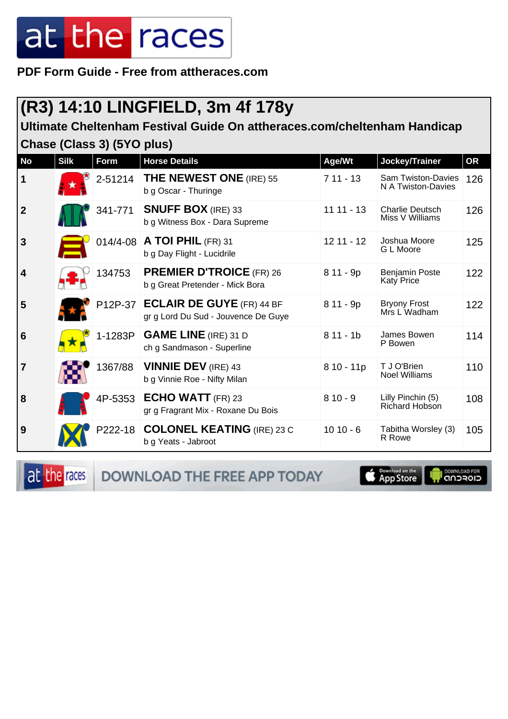**PDF Form Guide - Free from attheraces.com**

### **(R3) 14:10 LINGFIELD, 3m 4f 178y**

**Ultimate Cheltenham Festival Guide On attheraces.com/cheltenham Handicap Chase (Class 3) (5YO plus)**

| <b>No</b>               | <b>Silk</b> | Form    | <b>Horse Details</b>                                                     | Age/Wt       | Jockey/Trainer                                  | <b>OR</b> |
|-------------------------|-------------|---------|--------------------------------------------------------------------------|--------------|-------------------------------------------------|-----------|
| $\mathbf 1$             |             | 2-51214 | <b>THE NEWEST ONE</b> (IRE) 55<br>b g Oscar - Thuringe                   | $711 - 13$   | <b>Sam Twiston-Davies</b><br>N A Twiston-Davies | 126       |
| $\overline{2}$          |             | 341-771 | <b>SNUFF BOX</b> (IRE) 33<br>b g Witness Box - Dara Supreme              | $1111 - 13$  | <b>Charlie Deutsch</b><br>Miss V Williams       | 126       |
| $\overline{3}$          |             |         | 014/4-08   A TOI PHIL (FR) 31<br>b g Day Flight - Lucidrile              | $12$ 11 - 12 | Joshua Moore<br>G L Moore                       | 125       |
| $\overline{\mathbf{4}}$ |             | 134753  | <b>PREMIER D'TROICE (FR) 26</b><br>b g Great Pretender - Mick Bora       | 8 11 - 9p    | <b>Benjamin Poste</b><br>Katy Price             | 122       |
| 5                       |             |         | P12P-37 ECLAIR DE GUYE (FR) 44 BF<br>gr g Lord Du Sud - Jouvence De Guye | 8 11 - 9p    | <b>Bryony Frost</b><br>Mrs L Wadham             | 122       |
| 6                       |             | 1-1283P | <b>GAME LINE</b> (IRE) 31 D<br>ch g Sandmason - Superline                | $811 - 1b$   | James Bowen<br>P Bowen                          | 114       |
| $\overline{7}$          |             | 1367/88 | <b>VINNIE DEV (IRE) 43</b><br>b g Vinnie Roe - Nifty Milan               | 8 10 - 11p   | T J O'Brien<br><b>Noel Williams</b>             | 110       |
| 8                       |             | 4P-5353 | <b>ECHO WATT</b> (FR) 23<br>gr g Fragrant Mix - Roxane Du Bois           | $810 - 9$    | Lilly Pinchin (5)<br>Richard Hobson             | 108       |
| 9                       |             | P222-18 | <b>COLONEL KEATING (IRE) 23 C</b><br>b g Yeats - Jabroot                 | $1010 - 6$   | Tabitha Worsley (3)<br>R Rowe                   | 105       |

DOWNLOAD THE FREE APP TODAY

at the races

**Exampled on the**<br> **App Store**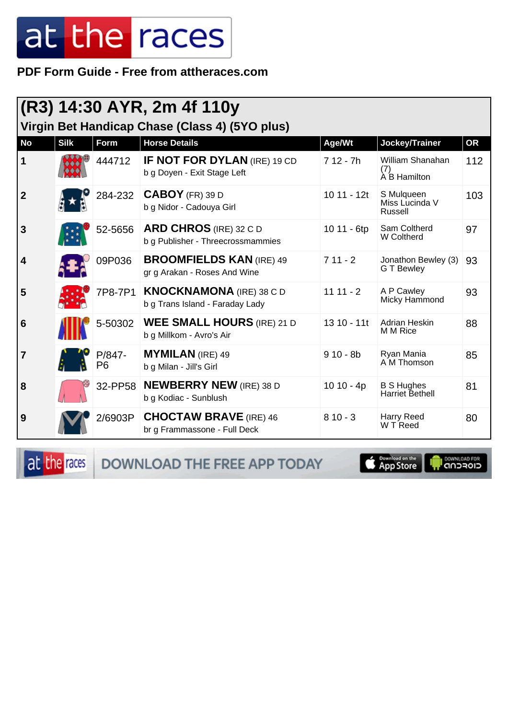#### PDF Form Guide - Free from attheraces.com

| (R3) 14:30 AYR, 2m 4f 110y<br>Virgin Bet Handicap Chase (Class 4) (5YO plus) |             |                          |                                                                    |              |                                             |           |  |  |
|------------------------------------------------------------------------------|-------------|--------------------------|--------------------------------------------------------------------|--------------|---------------------------------------------|-----------|--|--|
| <b>No</b>                                                                    | <b>Silk</b> | <b>Form</b>              | <b>Horse Details</b>                                               | Age/Wt       | Jockey/Trainer                              | <b>OR</b> |  |  |
| $\mathbf 1$                                                                  |             | 444712                   | <b>IF NOT FOR DYLAN (IRE) 19 CD</b><br>b g Doyen - Exit Stage Left | $712 - 7h$   | William Shanahan<br>(7)<br>À B Hamilton     | 112       |  |  |
| $\overline{2}$                                                               |             | 284-232                  | $CABOY$ (FR) 39 D<br>b g Nidor - Cadouya Girl                      | $1011 - 12t$ | S Mulqueen<br>Miss Lucinda V<br>Russell     | 103       |  |  |
| $\mathbf{3}$                                                                 |             | 52-5656                  | <b>ARD CHROS</b> (IRE) 32 C D<br>b g Publisher - Threecrossmammies | 10 11 - 6tp  | Sam Coltherd<br>W Coltherd                  | 97        |  |  |
| $\overline{4}$                                                               |             | 09P036                   | <b>BROOMFIELDS KAN (IRE) 49</b><br>gr g Arakan - Roses And Wine    | $711 - 2$    | Jonathon Bewley (3)<br><b>GT Bewley</b>     | 93        |  |  |
| 5                                                                            |             | 7P8-7P1                  | <b>KNOCKNAMONA</b> (IRE) 38 C D<br>b g Trans Island - Faraday Lady | $1111 - 2$   | A P Cawley<br>Micky Hammond                 | 93        |  |  |
| 6                                                                            |             | 5-50302                  | <b>WEE SMALL HOURS</b> (IRE) 21 D<br>b g Millkom - Avro's Air      | $1310 - 11t$ | Adrian Heskin<br>M M Rice                   | 88        |  |  |
| 7                                                                            |             | P/847-<br>P <sub>6</sub> | <b>MYMILAN</b> (IRE) 49<br>b g Milan - Jill's Girl                 | $910 - 8b$   | Ryan Mania<br>A M Thomson                   | 85        |  |  |
| 8                                                                            |             | 32-PP58                  | <b>NEWBERRY NEW (IRE) 38 D</b><br>b g Kodiac - Sunblush            | $1010 - 4p$  | <b>B S Hughes</b><br><b>Harriet Bethell</b> | 81        |  |  |
| 9                                                                            |             | 2/6903P                  | <b>CHOCTAW BRAVE</b> (IRE) 46<br>br g Frammassone - Full Deck      | $810 - 3$    | Harry Reed<br>W T Reed                      | 80        |  |  |

at the races DOWNLOAD THE FREE APP TODAY

**App Store**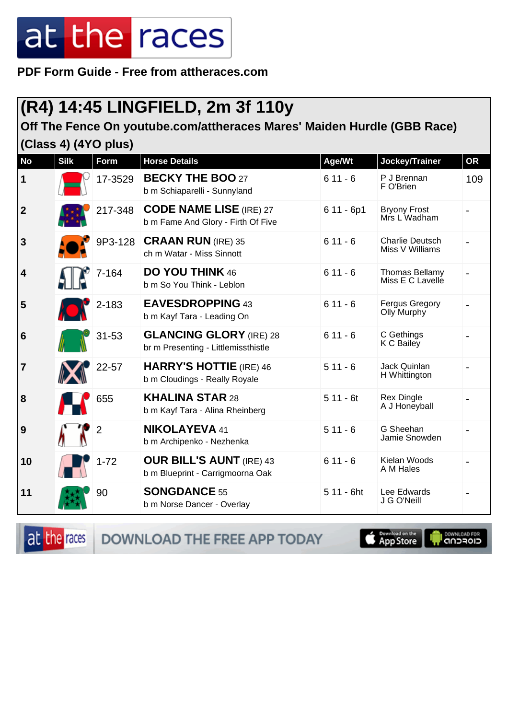**PDF Form Guide - Free from attheraces.com**

### **(R4) 14:45 LINGFIELD, 2m 3f 110y**

#### **Off The Fence On youtube.com/attheraces Mares' Maiden Hurdle (GBB Race) (Class 4) (4YO plus)**

| <b>No</b>               | <b>Silk</b> | Form           | <b>Horse Details</b>                                                  | Age/Wt      | Jockey/Trainer                            | <b>OR</b> |
|-------------------------|-------------|----------------|-----------------------------------------------------------------------|-------------|-------------------------------------------|-----------|
| $\mathbf 1$             |             | 17-3529        | <b>BECKY THE BOO 27</b><br>b m Schiaparelli - Sunnyland               | $611 - 6$   | P J Brennan<br>F O'Brien                  | 109       |
| $\overline{2}$          |             | 217-348        | <b>CODE NAME LISE (IRE) 27</b><br>b m Fame And Glory - Firth Of Five  | $611 - 6p1$ | <b>Bryony Frost</b><br>Mrs L Wadham       |           |
| $\mathbf{3}$            |             | 9P3-128        | <b>CRAAN RUN (IRE) 35</b><br>ch m Watar - Miss Sinnott                | $611 - 6$   | <b>Charlie Deutsch</b><br>Miss V Williams |           |
| $\overline{\mathbf{4}}$ |             | 7-164          | <b>DO YOU THINK 46</b><br>b m So You Think - Leblon                   | $611 - 6$   | <b>Thomas Bellamy</b><br>Miss E C Lavelle |           |
| 5                       |             | 2-183          | <b>EAVESDROPPING 43</b><br>b m Kayf Tara - Leading On                 | $611 - 6$   | <b>Fergus Gregory</b><br>Olly Murphy      |           |
| $6\phantom{1}6$         |             | $31 - 53$      | <b>GLANCING GLORY (IRE) 28</b><br>br m Presenting - Littlemissthistle | $611 - 6$   | C Gethings<br>K C Bailey                  |           |
| $\overline{7}$          |             | 22-57          | <b>HARRY'S HOTTIE</b> (IRE) 46<br>b m Cloudings - Really Royale       | $511 - 6$   | Jack Quinlan<br>H Whittington             |           |
| 8                       |             | 655            | <b>KHALINA STAR 28</b><br>b m Kayf Tara - Alina Rheinberg             | $511 - 6t$  | <b>Rex Dingle</b><br>A J Honeyball        |           |
| 9                       |             | $\overline{2}$ | <b>NIKOLAYEVA 41</b><br>b m Archipenko - Nezhenka                     | $511 - 6$   | G Sheehan<br>Jamie Snowden                |           |
| 10                      |             | $1 - 72$       | <b>OUR BILL'S AUNT (IRE) 43</b><br>b m Blueprint - Carrigmoorna Oak   | $611 - 6$   | Kielan Woods<br>A M Hales                 |           |
| 11                      |             | 90             | <b>SONGDANCE 55</b><br>b m Norse Dancer - Overlay                     | 5 11 - 6ht  | Lee Edwards<br>J G O'Neill                |           |

at the races

DOWNLOAD THE FREE APP TODAY

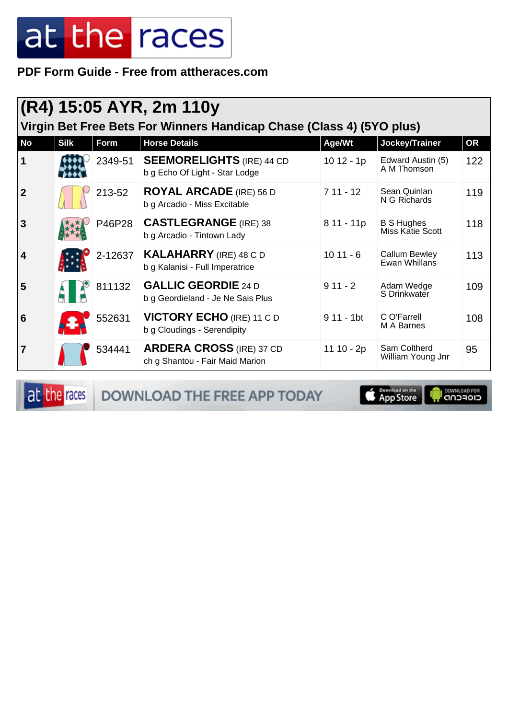PDF Form Guide - Free from attheraces.com

|                         | (R4) 15:05 AYR, 2m 110y<br>Virgin Bet Free Bets For Winners Handicap Chase (Class 4) (5YO plus) |             |                                                                    |                         |                                              |           |  |  |  |
|-------------------------|-------------------------------------------------------------------------------------------------|-------------|--------------------------------------------------------------------|-------------------------|----------------------------------------------|-----------|--|--|--|
| <b>No</b>               | <b>Silk</b>                                                                                     | <b>Form</b> | <b>Horse Details</b>                                               | Age/Wt                  | Jockey/Trainer                               | <b>OR</b> |  |  |  |
| $\mathbf 1$             |                                                                                                 | 2349-51     | <b>SEEMORELIGHTS (IRE) 44 CD</b><br>b g Echo Of Light - Star Lodge | $1012 - 1p$             | Edward Austin (5)<br>A M Thomson             | 122       |  |  |  |
| $\boldsymbol{2}$        |                                                                                                 | 213-52      | <b>ROYAL ARCADE</b> (IRE) 56 D<br>b g Arcadio - Miss Excitable     | $711 - 12$              | Sean Quinlan<br>N G Richards                 | 119       |  |  |  |
| $\overline{\mathbf{3}}$ |                                                                                                 | P46P28      | <b>CASTLEGRANGE</b> (IRE) 38<br>b g Arcadio - Tintown Lady         | 8 11 - 11p              | <b>B S Hughes</b><br><b>Miss Katie Scott</b> | 118       |  |  |  |
| $\overline{\mathbf{4}}$ |                                                                                                 | 2-12637     | <b>KALAHARRY</b> (IRE) 48 C D<br>b g Kalanisi - Full Imperatrice   | $1011 - 6$              | Callum Bewley<br>Ewan Whillans               | 113       |  |  |  |
| 5                       |                                                                                                 | 811132      | <b>GALLIC GEORDIE 24 D</b><br>b g Geordieland - Je Ne Sais Plus    | $911 - 2$               | Adam Wedge<br>S Drinkwater                   | 109       |  |  |  |
| 6                       |                                                                                                 | 552631      | <b>VICTORY ECHO (IRE) 11 C D</b><br>b g Cloudings - Serendipity    | $911 - 1$ <sub>bt</sub> | C O'Farrell<br>M A Barnes                    | 108       |  |  |  |
| 7                       |                                                                                                 | 534441      | <b>ARDERA CROSS (IRE) 37 CD</b><br>ch g Shantou - Fair Maid Marion | 11 10 - 2p              | Sam Coltherd<br>William Young Jnr            | 95        |  |  |  |

at the races

DOWNLOAD THE FREE APP TODAY

Download on the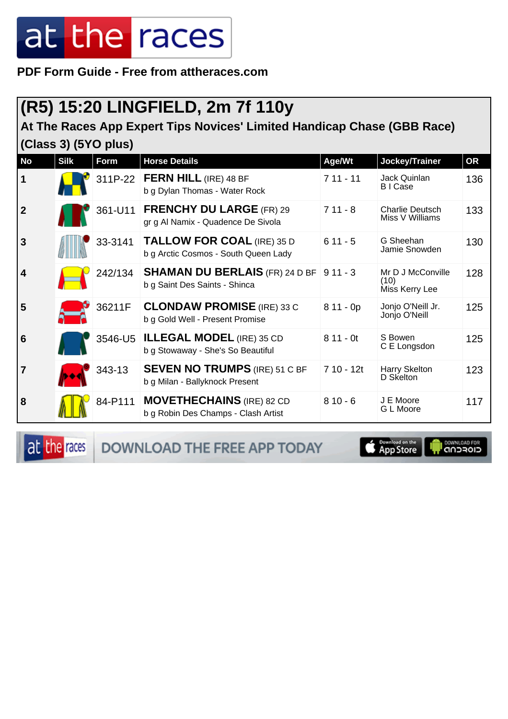**PDF Form Guide - Free from attheraces.com**

### **(R5) 15:20 LINGFIELD, 2m 7f 110y**

#### **At The Races App Expert Tips Novices' Limited Handicap Chase (GBB Race) (Class 3) (5YO plus)**

| No             | <b>Silk</b> | <b>Form</b> | <b>Horse Details</b>                                                      | Age/Wt     | Jockey/Trainer                              | <b>OR</b> |
|----------------|-------------|-------------|---------------------------------------------------------------------------|------------|---------------------------------------------|-----------|
| $\vert$ 1      |             | 311P-22     | <b>FERN HILL (IRE) 48 BF</b><br>b g Dylan Thomas - Water Rock             | $711 - 11$ | Jack Quinlan<br><b>BICase</b>               | 136       |
| $\overline{2}$ |             | 361-U11     | <b>FRENCHY DU LARGE (FR) 29</b><br>gr g Al Namix - Quadence De Sivola     | $711 - 8$  | <b>Charlie Deutsch</b><br>Miss V Williams   | 133       |
| 3              |             | 33-3141     | <b>TALLOW FOR COAL (IRE) 35 D</b><br>b g Arctic Cosmos - South Queen Lady | $611 - 5$  | G Sheehan<br>Jamie Snowden                  | 130       |
| $\vert 4$      |             | 242/134     | <b>SHAMAN DU BERLAIS (FR) 24 D BF</b><br>b g Saint Des Saints - Shinca    | $911 - 3$  | Mr D J McConville<br>(10)<br>Miss Kerry Lee | 128       |
| 5              |             | 36211F      | <b>CLONDAW PROMISE</b> (IRE) 33 C<br>b g Gold Well - Present Promise      | $811 - 0p$ | Jonjo O'Neill Jr.<br>Jonjo O'Neill          | 125       |
| 6              |             | 3546-U5     | <b>ILLEGAL MODEL (IRE) 35 CD</b><br>b g Stowaway - She's So Beautiful     | $811 - 0t$ | S Bowen<br>C E Longsdon                     | 125       |
| $\overline{7}$ |             | 343-13      | <b>SEVEN NO TRUMPS (IRE) 51 C BF</b><br>b g Milan - Ballyknock Present    | 7 10 - 12t | Harry Skelton<br>D Skelton                  | 123       |
| 8              |             | 84-P111     | <b>MOVETHECHAINS</b> (IRE) 82 CD<br>b g Robin Des Champs - Clash Artist   | $810 - 6$  | J E Moore<br>G L Moore                      | 117       |

at the races DOWNLOAD THE FREE APP TODAY App Store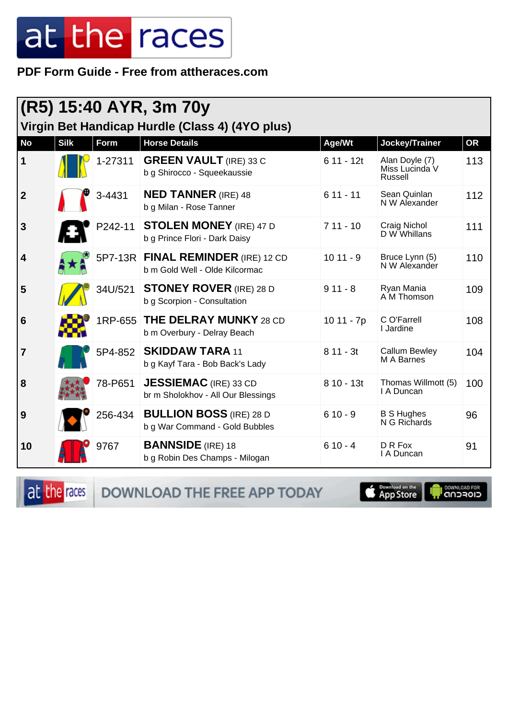#### PDF Form Guide - Free from attheraces.com

|                                                 | (R5) 15:40 AYR, 3m 70y |         |                                                                    |             |                                             |           |  |  |
|-------------------------------------------------|------------------------|---------|--------------------------------------------------------------------|-------------|---------------------------------------------|-----------|--|--|
| Virgin Bet Handicap Hurdle (Class 4) (4YO plus) |                        |         |                                                                    |             |                                             |           |  |  |
| <b>No</b>                                       | <b>Silk</b>            | Form    | <b>Horse Details</b>                                               | Age/Wt      | Jockey/Trainer                              | <b>OR</b> |  |  |
| $\mathbf 1$                                     |                        | 1-27311 | <b>GREEN VAULT</b> (IRE) 33 C<br>b g Shirocco - Squeekaussie       | $611 - 12t$ | Alan Doyle (7)<br>Miss Lucinda V<br>Russell | 113       |  |  |
| $\boldsymbol{2}$                                |                        | 3-4431  | <b>NED TANNER</b> (IRE) 48<br>b g Milan - Rose Tanner              | $611 - 11$  | Sean Quinlan<br>N W Alexander               | 112       |  |  |
| $\mathbf{3}$                                    |                        | P242-11 | <b>STOLEN MONEY (IRE) 47 D</b><br>b g Prince Flori - Dark Daisy    | $711 - 10$  | Craig Nichol<br>D W Whillans                | 111       |  |  |
| $\overline{\mathbf{4}}$                         |                        | 5P7-13R | FINAL REMINDER (IRE) 12 CD<br>b m Gold Well - Olde Kilcormac       | $1011 - 9$  | Bruce Lynn (5)<br>N W Alexander             | 110       |  |  |
| 5                                               |                        | 34U/521 | <b>STONEY ROVER</b> (IRE) 28 D<br>b g Scorpion - Consultation      | $911 - 8$   | Ryan Mania<br>A M Thomson                   | 109       |  |  |
| 6                                               |                        | 1RP-655 | <b>THE DELRAY MUNKY 28 CD</b><br>b m Overbury - Delray Beach       | $1011 - 7p$ | C O'Farrell<br>I Jardine                    | 108       |  |  |
| $\overline{7}$                                  |                        | 5P4-852 | <b>SKIDDAW TARA 11</b><br>b g Kayf Tara - Bob Back's Lady          | $811 - 3t$  | <b>Callum Bewley</b><br>M A Barnes          | 104       |  |  |
| 8                                               |                        | 78-P651 | <b>JESSIEMAC</b> (IRE) 33 CD<br>br m Sholokhov - All Our Blessings | $810 - 13t$ | Thomas Willmott (5)<br>I A Duncan           | 100       |  |  |
| 9                                               |                        | 256-434 | <b>BULLION BOSS (IRE) 28 D</b><br>b g War Command - Gold Bubbles   | $610 - 9$   | <b>B S Hughes</b><br>N G Richards           | 96        |  |  |
| 10                                              |                        | 9767    | <b>BANNSIDE</b> (IRE) 18<br>b g Robin Des Champs - Milogan         | $610 - 4$   | D R Fox<br>I A Duncan                       | 91        |  |  |

at the races

DOWNLOAD THE FREE APP TODAY

**Example of the App Store** 

il <sup>DownLGAD FOR</sup>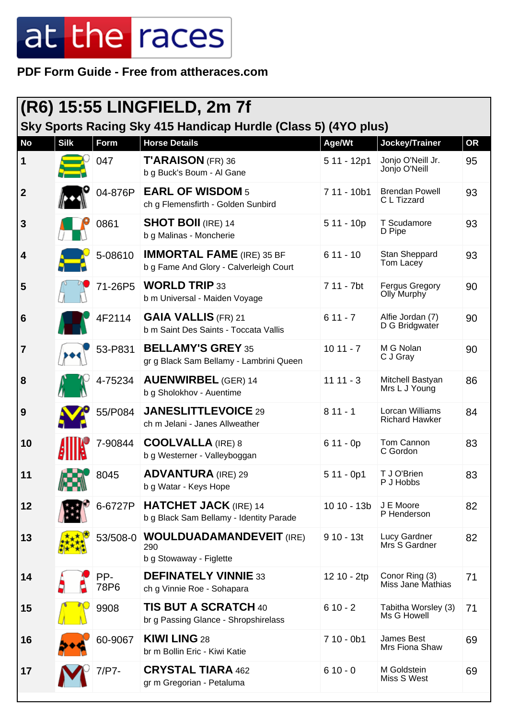**PDF Form Guide - Free from attheraces.com**

| $ (R6)$ 15:55 LINGFIELD, 2m 7f<br>Sky Sports Racing Sky 415 Handicap Hurdle (Class 5) (4YO plus) |             |             |                                                                            |             |                                             |           |  |
|--------------------------------------------------------------------------------------------------|-------------|-------------|----------------------------------------------------------------------------|-------------|---------------------------------------------|-----------|--|
| <b>No</b>                                                                                        | <b>Silk</b> | Form        | <b>Horse Details</b>                                                       | Age/Wt      | Jockey/Trainer                              | <b>OR</b> |  |
| 1                                                                                                |             | 047         | $T'ARAISON$ (FR) 36<br>b g Buck's Boum - Al Gane                           | 5 11 - 12p1 | Jonjo O'Neill Jr.<br>Jonjo O'Neill          | 95        |  |
| $\mathbf{2}$                                                                                     |             | 04-876P     | <b>EARL OF WISDOM 5</b><br>ch g Flemensfirth - Golden Sunbird              | 7 11 - 10b1 | <b>Brendan Powell</b><br>C L Tizzard        | 93        |  |
| $\mathbf{3}$                                                                                     |             | 0861        | <b>SHOT BOII</b> (IRE) 14<br>b g Malinas - Moncherie                       | $511 - 10p$ | T Scudamore<br>D Pipe                       | 93        |  |
| 4                                                                                                |             | 5-08610     | <b>IMMORTAL FAME</b> (IRE) 35 BF<br>b g Fame And Glory - Calverleigh Court | $611 - 10$  | Stan Sheppard<br>Tom Lacey                  | 93        |  |
| 5                                                                                                |             | 71-26P5     | <b>WORLD TRIP 33</b><br>b m Universal - Maiden Voyage                      | 7 11 - 7bt  | <b>Fergus Gregory</b><br><b>Olly Murphy</b> | 90        |  |
| $6\phantom{1}6$                                                                                  |             | 4F2114      | <b>GAIA VALLIS (FR) 21</b><br>b m Saint Des Saints - Toccata Vallis        | $611 - 7$   | Alfie Jordan (7)<br>D G Bridgwater          | 90        |  |
| 7                                                                                                |             | 53-P831     | <b>BELLAMY'S GREY 35</b><br>gr g Black Sam Bellamy - Lambrini Queen        | $1011 - 7$  | M G Nolan<br>C J Gray                       | 90        |  |
| 8                                                                                                |             | 4-75234     | <b>AUENWIRBEL (GER) 14</b><br>b g Sholokhov - Auentime                     | $1111 - 3$  | Mitchell Bastyan<br>Mrs L J Young           | 86        |  |
| 9                                                                                                |             | 55/P084     | <b>JANESLITTLEVOICE 29</b><br>ch m Jelani - Janes Allweather               | $811 - 1$   | Lorcan Williams<br><b>Richard Hawker</b>    | 84        |  |
| 10                                                                                               |             | 7-90844     | <b>COOLVALLA</b> (IRE) 8<br>b g Westerner - Valleyboggan                   | $611 - 0p$  | Tom Cannon<br>C Gordon                      | 83        |  |
| 11                                                                                               | URO.        | 8045        | <b>ADVANTURA (IRE) 29</b><br>b g Watar - Keys Hope                         | $511 - 0p1$ | T J O'Brien<br>P J Hobbs                    | 83        |  |
| 12                                                                                               |             | 6-6727P     | <b>HATCHET JACK (IRE) 14</b><br>b g Black Sam Bellamy - Identity Parade    | 10 10 - 13b | J E Moore<br>P Henderson                    | 82        |  |
| 13                                                                                               |             | 53/508-0    | <b>WOULDUADAMANDEVEIT (IRE)</b><br>290<br>b g Stowaway - Figlette          | $910 - 13t$ | Lucy Gardner<br>Mrs S Gardner               | 82        |  |
| 14                                                                                               |             | PP-<br>78P6 | <b>DEFINATELY VINNIE 33</b><br>ch g Vinnie Roe - Sohapara                  | 12 10 - 2tp | Conor Ring (3)<br>Miss Jane Mathias         | 71        |  |
| 15                                                                                               |             | 9908        | <b>TIS BUT A SCRATCH 40</b><br>br g Passing Glance - Shropshirelass        | $610 - 2$   | Tabitha Worsley (3)<br>Ms G Howell          | 71        |  |
| 16                                                                                               |             | 60-9067     | <b>KIWI LING 28</b><br>br m Bollin Eric - Kiwi Katie                       | $710 - 0b1$ | James Best<br>Mrs Fiona Shaw                | 69        |  |
| 17                                                                                               |             | 7/P7-       | <b>CRYSTAL TIARA 462</b><br>gr m Gregorian - Petaluma                      | $610 - 0$   | M Goldstein<br>Miss S West                  | 69        |  |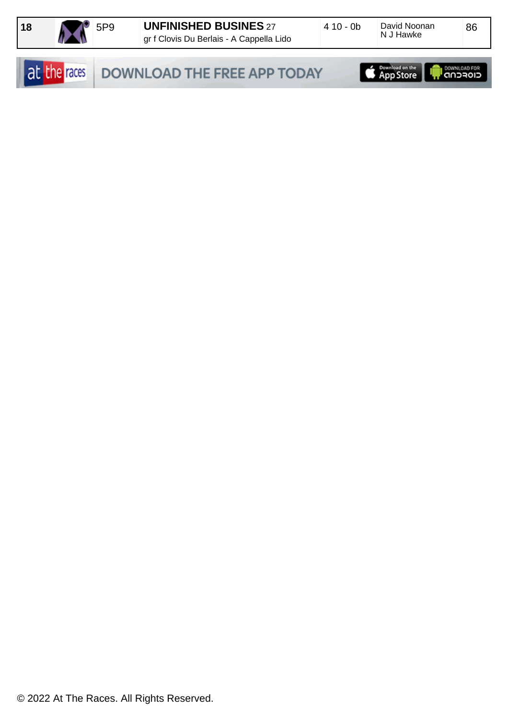

86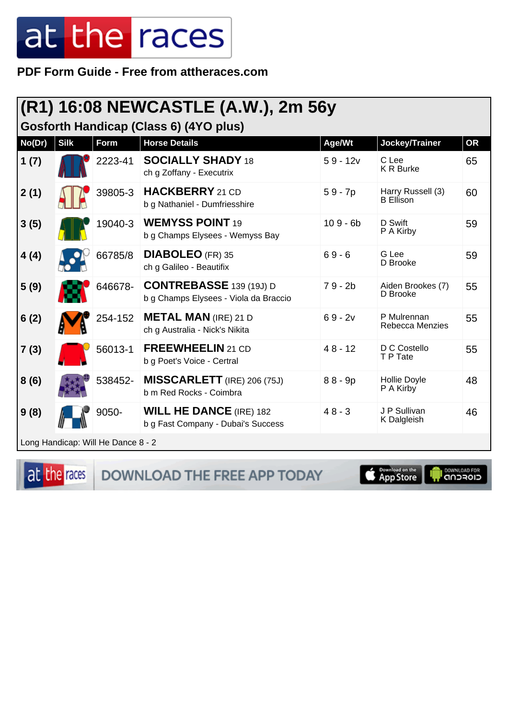PDF Form Guide - Free from attheraces.com

| (R1) 16:08 NEWCASTLE (A.W.), 2m 56y<br>Gosforth Handicap (Class 6) (4YO plus) |             |                                    |                                                                         |            |                                       |           |  |
|-------------------------------------------------------------------------------|-------------|------------------------------------|-------------------------------------------------------------------------|------------|---------------------------------------|-----------|--|
| No(Dr)                                                                        | <b>Silk</b> | Form                               | <b>Horse Details</b>                                                    | Age/Wt     | Jockey/Trainer                        | <b>OR</b> |  |
| 1(7)                                                                          |             | 2223-41                            | <b>SOCIALLY SHADY 18</b><br>ch g Zoffany - Executrix                    | $59 - 12v$ | C Lee<br><b>K R Burke</b>             | 65        |  |
| 2(1)                                                                          |             | 39805-3                            | <b>HACKBERRY</b> 21 CD<br>b g Nathaniel - Dumfriesshire                 | $59 - 7p$  | Harry Russell (3)<br><b>B</b> Ellison | 60        |  |
| 3(5)                                                                          |             | 19040-3                            | <b>WEMYSS POINT 19</b><br>b g Champs Elysees - Wemyss Bay               | $109 - 6b$ | D Swift<br>P A Kirby                  | 59        |  |
| 4(4)                                                                          |             | 66785/8                            | <b>DIABOLEO</b> (FR) 35<br>ch g Galileo - Beautifix                     | $69 - 6$   | G Lee<br>D Brooke                     | 59        |  |
| 5(9)                                                                          |             | 646678-                            | <b>CONTREBASSE</b> 139 (19J) D<br>b g Champs Elysees - Viola da Braccio | $79 - 2b$  | Aiden Brookes (7)<br>D Brooke         | 55        |  |
| 6(2)                                                                          |             | 254-152                            | <b>METAL MAN</b> (IRE) 21 D<br>ch g Australia - Nick's Nikita           | $69 - 2v$  | P Mulrennan<br>Rebecca Menzies        | 55        |  |
| 7(3)                                                                          |             | 56013-1                            | <b>FREEWHEELIN</b> 21 CD<br>b g Poet's Voice - Certral                  | $48 - 12$  | D C Costello<br>T P Tate              | 55        |  |
| 8(6)                                                                          |             | 538452-                            | <b>MISSCARLETT</b> (IRE) 206 (75J)<br>b m Red Rocks - Coimbra           | $88 - 9p$  | <b>Hollie Doyle</b><br>P A Kirby      | 48        |  |
| 9(8)                                                                          |             | 9050-                              | <b>WILL HE DANCE (IRE) 182</b><br>b g Fast Company - Dubai's Success    | $48 - 3$   | J P Sullivan<br>K Dalgleish           | 46        |  |
|                                                                               |             | Long Handicap: Will He Dance 8 - 2 |                                                                         |            |                                       |           |  |

at the races

DOWNLOAD THE FREE APP TODAY

App Store

il <sup>DownLGAD FOR</sup><br>CIOFCND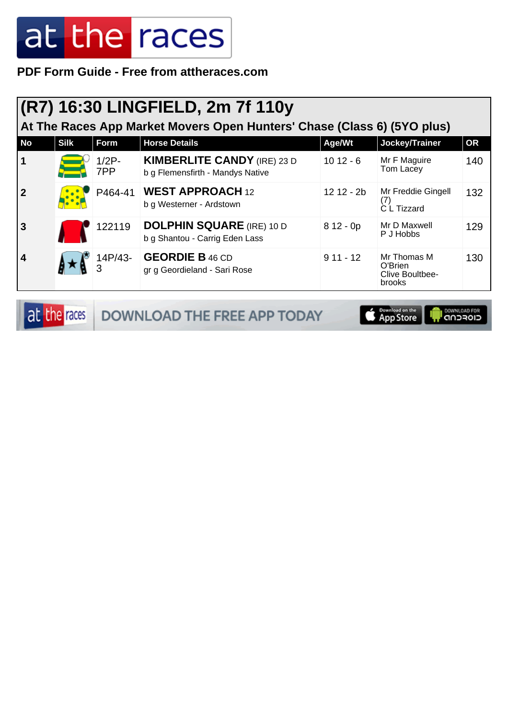**PDF Form Guide - Free from attheraces.com**

### **(R7) 16:30 LINGFIELD, 2m 7f 110y**

**At The Races App Market Movers Open Hunters' Chase (Class 6) (5YO plus)**

| <b>No</b>      | <b>Silk</b> | Form            | <b>Horse Details</b>                                                   | Age/Wt     | Jockey/Trainer                                      | <b>OR</b> |
|----------------|-------------|-----------------|------------------------------------------------------------------------|------------|-----------------------------------------------------|-----------|
| $\vert$ 1      |             | $1/2P$ -<br>7PP | <b>KIMBERLITE CANDY (IRE) 23 D</b><br>b g Flemensfirth - Mandys Native | $1012 - 6$ | Mr F Maguire<br>Tom Lacey                           | 140       |
| $\overline{2}$ |             | P464-41         | <b>WEST APPROACH 12</b><br>b g Westerner - Ardstown                    | 12 12 - 2b | Mr Freddie Gingell<br>C L Tizzard                   | 132       |
| <b>3</b>       |             | 122119          | <b>DOLPHIN SQUARE (IRE) 10 D</b><br>b g Shantou - Carrig Eden Lass     | $812 - 0p$ | Mr D Maxwell<br>P J Hobbs                           | 129       |
| $\overline{4}$ |             | 14P/43-<br>3    | <b>GEORDIE B 46 CD</b><br>gr g Geordieland - Sari Rose                 | $911 - 12$ | Mr Thomas M<br>O'Brien<br>Clive Boultbee-<br>brooks | 130       |

|  | <b>at the races DOWNLOAD THE FREE APP TODAY</b> | <b>Exampled on the Europe Community Community</b> |  |
|--|-------------------------------------------------|---------------------------------------------------|--|
|--|-------------------------------------------------|---------------------------------------------------|--|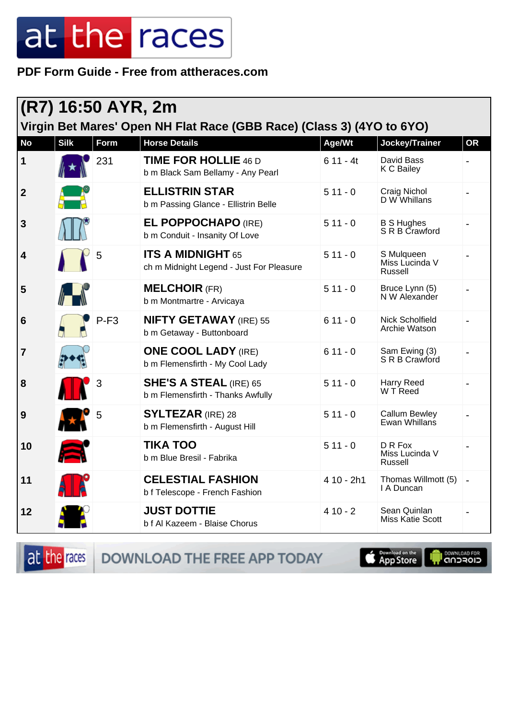#### PDF Form Guide - Free from attheraces.com

| (R7) 16:50 AYR, 2m<br>Virgin Bet Mares' Open NH Flat Race (GBB Race) (Class 3) (4YO to 6YO) |             |        |                                                                      |            |                                         |           |  |
|---------------------------------------------------------------------------------------------|-------------|--------|----------------------------------------------------------------------|------------|-----------------------------------------|-----------|--|
| <b>No</b>                                                                                   | <b>Silk</b> | Form   | <b>Horse Details</b>                                                 | Age/Wt     | Jockey/Trainer                          | <b>OR</b> |  |
| $\mathbf 1$                                                                                 |             | 231    | <b>TIME FOR HOLLIE 46 D</b><br>b m Black Sam Bellamy - Any Pearl     | $611 - 4t$ | David Bass<br>K C Bailey                |           |  |
| $\boldsymbol{2}$                                                                            |             |        | <b>ELLISTRIN STAR</b><br>b m Passing Glance - Ellistrin Belle        | $511 - 0$  | Craig Nichol<br>D W Whillans            |           |  |
| $\mathbf{3}$                                                                                |             |        | <b>EL POPPOCHAPO (IRE)</b><br>b m Conduit - Insanity Of Love         | $511 - 0$  | <b>B S Hughes</b><br>S R B Crawford     |           |  |
| 4                                                                                           |             | 5      | <b>ITS A MIDNIGHT 65</b><br>ch m Midnight Legend - Just For Pleasure | $511 - 0$  | S Mulqueen<br>Miss Lucinda V<br>Russell |           |  |
| 5                                                                                           |             |        | <b>MELCHOIR (FR)</b><br>b m Montmartre - Arvicaya                    | $511 - 0$  | Bruce Lynn (5)<br>N W Alexander         |           |  |
| $6\phantom{1}6$                                                                             |             | $P-F3$ | <b>NIFTY GETAWAY</b> (IRE) 55<br>b m Getaway - Buttonboard           | $611 - 0$  | Nick Scholfield<br>Archie Watson        |           |  |
| $\overline{7}$                                                                              |             |        | <b>ONE COOL LADY (IRE)</b><br>b m Flemensfirth - My Cool Lady        | $611 - 0$  | Sam Ewing (3)<br>S R B Crawford         |           |  |
| 8                                                                                           |             | 3      | <b>SHE'S A STEAL (IRE) 65</b><br>b m Flemensfirth - Thanks Awfully   | $511 - 0$  | <b>Harry Reed</b><br>W T Reed           |           |  |
| 9                                                                                           |             | 5      | <b>SYLTEZAR</b> (IRE) 28<br>b m Flemensfirth - August Hill           | $511 - 0$  | <b>Callum Bewley</b><br>Ewan Whillans   |           |  |
| 10                                                                                          |             |        | <b>TIKA TOO</b><br>b m Blue Bresil - Fabrika                         | $511 - 0$  | D R Fox<br>Miss Lucinda V<br>Russell    |           |  |
| 11                                                                                          |             |        | <b>CELESTIAL FASHION</b><br>b f Telescope - French Fashion           | 4 10 - 2h1 | Thomas Willmott (5)<br>I A Duncan       |           |  |
| 12                                                                                          |             |        | <b>JUST DOTTIE</b><br>b f Al Kazeem - Blaise Chorus                  | $410 - 2$  | Sean Quinlan<br><b>Miss Katie Scott</b> |           |  |

at the races

DOWNLOAD THE FREE APP TODAY

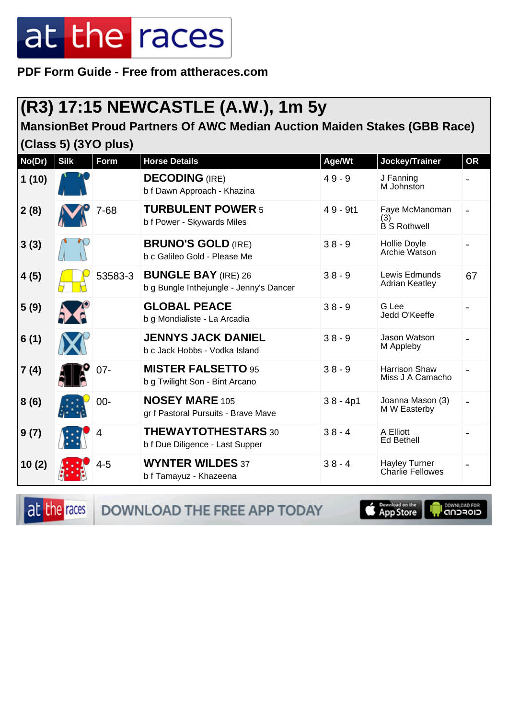**PDF Form Guide - Free from attheraces.com**

### **(R3) 17:15 NEWCASTLE (A.W.), 1m 5y**

**MansionBet Proud Partners Of AWC Median Auction Maiden Stakes (GBB Race)**

**(Class 5) (3YO plus)**

| No(Dr) | <b>Silk</b> | Form    | <b>Horse Details</b>                                                  | Age/Wt     | Jockey/Trainer                                  | <b>OR</b> |
|--------|-------------|---------|-----------------------------------------------------------------------|------------|-------------------------------------------------|-----------|
| 1(10)  |             |         | <b>DECODING</b> (IRE)<br>b f Dawn Approach - Khazina                  | $49 - 9$   | J Fanning<br>M Johnston                         |           |
| 2(8)   |             | 7-68    | <b>TURBULENT POWER 5</b><br>b f Power - Skywards Miles                | $49 - 9t1$ | Faye McManoman<br>(3)<br><b>B</b> S Rothwell    |           |
| 3(3)   |             |         | <b>BRUNO'S GOLD (IRE)</b><br>b c Galileo Gold - Please Me             | $38 - 9$   | Hollie Doyle<br>Archie Watson                   |           |
| 4(5)   |             | 53583-3 | <b>BUNGLE BAY (IRE) 26</b><br>b g Bungle Inthejungle - Jenny's Dancer | $38 - 9$   | Lewis Edmunds<br><b>Adrian Keatley</b>          | 67        |
| 5(9)   |             |         | <b>GLOBAL PEACE</b><br>b g Mondialiste - La Arcadia                   | $38 - 9$   | G Lee<br>Jedd O'Keeffe                          |           |
| 6(1)   |             |         | <b>JENNYS JACK DANIEL</b><br>b c Jack Hobbs - Vodka Island            | $38 - 9$   | Jason Watson<br>M Appleby                       |           |
| 7(4)   |             | $07 -$  | <b>MISTER FALSETTO 95</b><br>b g Twilight Son - Bint Arcano           | $38 - 9$   | <b>Harrison Shaw</b><br>Miss J A Camacho        |           |
| 8(6)   |             | $00 -$  | <b>NOSEY MARE 105</b><br>gr f Pastoral Pursuits - Brave Mave          | $38 - 4p1$ | Joanna Mason (3)<br>M W Easterby                |           |
| 9(7)   |             | 4       | <b>THEWAYTOTHESTARS 30</b><br>b f Due Diligence - Last Supper         | $38 - 4$   | A Elliott<br><b>Ed Bethell</b>                  |           |
| 10(2)  |             | $4 - 5$ | <b>WYNTER WILDES 37</b><br>b f Tamayuz - Khazeena                     | $38 - 4$   | <b>Hayley Turner</b><br><b>Charlie Fellowes</b> |           |

at the races

DOWNLOAD THE FREE APP TODAY

Download on the **I DOWNLOAD FOR**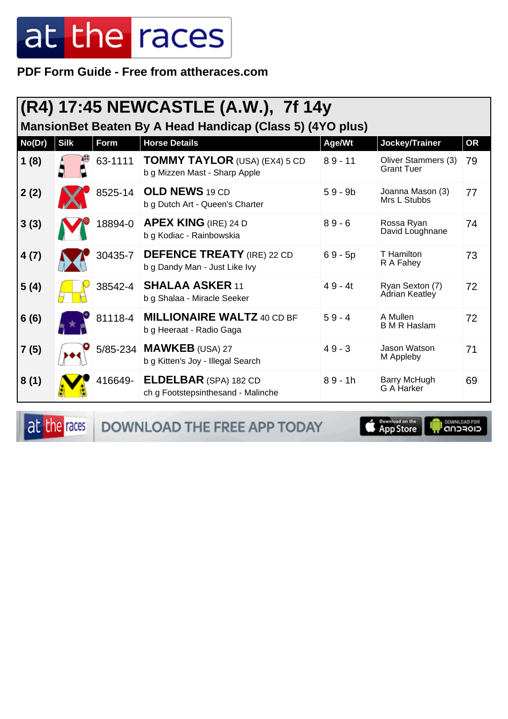PDF Form Guide - Free from attheraces.com

| (R4) 17:45 NEWCASTLE (A.W.), 7f 14y<br>MansionBet Beaten By A Head Handicap (Class 5) (4YO plus) |             |             |                                                                       |           |                                          |           |  |
|--------------------------------------------------------------------------------------------------|-------------|-------------|-----------------------------------------------------------------------|-----------|------------------------------------------|-----------|--|
| No(Dr)                                                                                           | <b>Silk</b> | <b>Form</b> | <b>Horse Details</b>                                                  | Age/Wt    | Jockey/Trainer                           | <b>OR</b> |  |
| 1(8)                                                                                             |             | 63-1111     | <b>TOMMY TAYLOR</b> (USA) (EX4) 5 CD<br>b g Mizzen Mast - Sharp Apple | $89 - 11$ | Oliver Stammers (3)<br><b>Grant Tuer</b> | 79        |  |
| 2(2)                                                                                             |             | 8525-14     | <b>OLD NEWS 19 CD</b><br>b g Dutch Art - Queen's Charter              | $59 - 9b$ | Joanna Mason (3)<br>Mrs L Stubbs         | 77        |  |
| 3(3)                                                                                             |             | 18894-0     | <b>APEX KING (IRE) 24 D</b><br>b g Kodiac - Rainbowskia               | $89 - 6$  | Rossa Ryan<br>David Loughnane            | 74        |  |
| 4(7)                                                                                             |             | 30435-7     | <b>DEFENCE TREATY</b> (IRE) 22 CD<br>b g Dandy Man - Just Like Ivy    | $69 - 5p$ | T Hamilton<br>R A Fahey                  | 73        |  |
| 5(4)                                                                                             |             | 38542-4     | <b>SHALAA ASKER 11</b><br>b g Shalaa - Miracle Seeker                 | $49 - 4t$ | Ryan Sexton (7)<br>Adrian Keatley        | 72        |  |
| 6(6)                                                                                             |             | 81118-4     | <b>MILLIONAIRE WALTZ 40 CD BF</b><br>b g Heeraat - Radio Gaga         | $59 - 4$  | A Mullen<br><b>B</b> M R Haslam          | 72        |  |
| 7(5)                                                                                             |             |             | 5/85-234 MAWKEB (USA) 27<br>b g Kitten's Joy - Illegal Search         | $49 - 3$  | Jason Watson<br>M Appleby                | 71        |  |
| 8(1)                                                                                             |             | 416649-     | <b>ELDELBAR</b> (SPA) 182 CD<br>ch g Footstepsinthesand - Malinche    | $89 - 1h$ | Barry McHugh<br>G A Harker               | 69        |  |

at the races

DOWNLOAD THE FREE APP TODAY

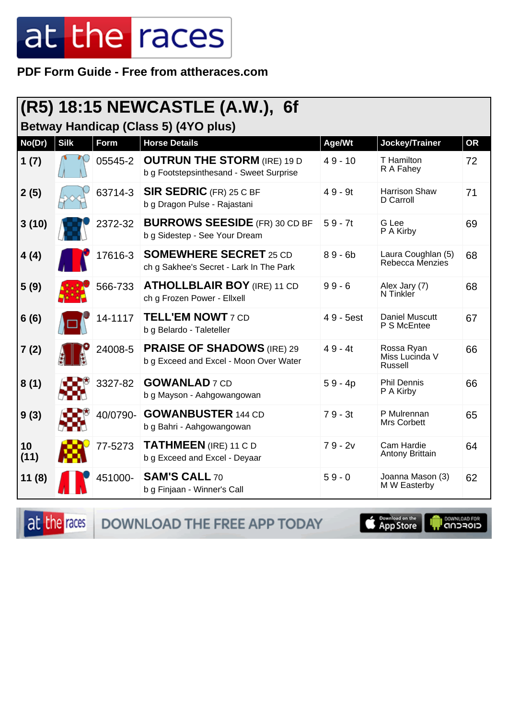PDF Form Guide - Free from attheraces.com

|                                      |             |             | (R5) 18:15 NEWCASTLE (A.W.), 6f                                               |           |                                         |           |  |  |
|--------------------------------------|-------------|-------------|-------------------------------------------------------------------------------|-----------|-----------------------------------------|-----------|--|--|
| Betway Handicap (Class 5) (4YO plus) |             |             |                                                                               |           |                                         |           |  |  |
| No(Dr)                               | <b>Silk</b> | <b>Form</b> | <b>Horse Details</b>                                                          | Age/Wt    | Jockey/Trainer                          | <b>OR</b> |  |  |
| 1(7)                                 |             | 05545-2     | <b>OUTRUN THE STORM (IRE) 19 D</b><br>b g Footstepsinthesand - Sweet Surprise | $49 - 10$ | T Hamilton<br>R A Fahey                 | 72        |  |  |
| 2(5)                                 |             | 63714-3     | <b>SIR SEDRIC</b> (FR) 25 C BF<br>b g Dragon Pulse - Rajastani                | $49 - 9t$ | <b>Harrison Shaw</b><br>D Carroll       | 71        |  |  |
| 3(10)                                |             | 2372-32     | <b>BURROWS SEESIDE</b> (FR) 30 CD BF<br>b g Sidestep - See Your Dream         | $59 - 7t$ | G Lee<br>P A Kirby                      | 69        |  |  |
| 4(4)                                 |             | 17616-3     | <b>SOMEWHERE SECRET 25 CD</b><br>ch g Sakhee's Secret - Lark In The Park      | $89 - 6b$ | Laura Coughlan (5)<br>Rebecca Menzies   | 68        |  |  |
| 5(9)                                 |             | 566-733     | <b>ATHOLLBLAIR BOY (IRE) 11 CD</b><br>ch g Frozen Power - Ellxell             | $99 - 6$  | Alex Jary (7)<br>N Tinkler              | 68        |  |  |
| 6(6)                                 |             | 14-1117     | <b>TELL'EM NOWT 7 CD</b><br>b g Belardo - Taleteller                          | 49 - 5est | <b>Daniel Muscutt</b><br>P S McEntee    | 67        |  |  |
| 7(2)                                 |             | 24008-5     | <b>PRAISE OF SHADOWS</b> (IRE) 29<br>b g Exceed and Excel - Moon Over Water   | $49 - 4t$ | Rossa Ryan<br>Miss Lucinda V<br>Russell | 66        |  |  |
| 8(1)                                 |             | 3327-82     | <b>GOWANLAD</b> 7 CD<br>b g Mayson - Aahgowangowan                            | $59 - 4p$ | <b>Phil Dennis</b><br>P A Kirby         | 66        |  |  |
| 9(3)                                 |             | 40/0790-    | <b>GOWANBUSTER 144 CD</b><br>b g Bahri - Aahgowangowan                        | $79 - 3t$ | P Mulrennan<br>Mrs Corbett              | 65        |  |  |
| 10<br>(11)                           |             | 77-5273     | <b>TATHMEEN</b> (IRE) 11 C D<br>b g Exceed and Excel - Deyaar                 | $79 - 2v$ | Cam Hardie<br>Antony Brittain           | 64        |  |  |
| 11(8)                                |             | 451000-     | <b>SAM'S CALL 70</b><br>b g Finjaan - Winner's Call                           | $59 - 0$  | Joanna Mason (3)<br>M W Easterby        | 62        |  |  |

at the races DOWNLOAD THE FREE APP TODAY

App Store